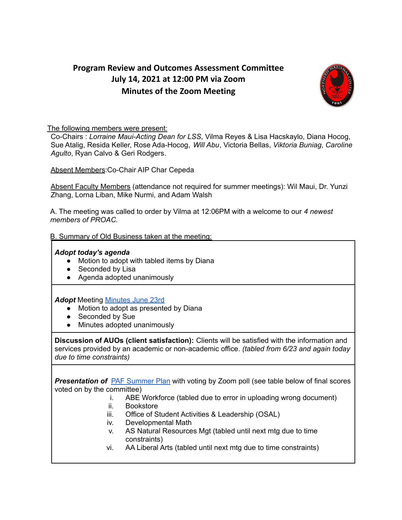# **Program Review and Outcomes Assessment Committee July 14, 2021 at 12:00 PM via Zoom Minutes of the Zoom Meeting**



#### The following members were present:

Co-Chairs : *Lorraine Maui-Acting Dean for LSS*, Vilma Reyes & Lisa Hacskaylo, Diana Hocog, Sue Atalig, Resida Keller, Rose Ada-Hocog, *Will Abu*, Victoria Bellas, *Viktoria Buniag*, *Caroline Agulto*, Ryan Calvo & Geri Rodgers.

Absent Members:Co-Chair AIP Char Cepeda

Absent Faculty Members (attendance not required for summer meetings): Wil Maui, Dr. Yunzi Zhang, Lorna Liban, Mike Nurmi, and Adam Walsh

A. The meeting was called to order by Vilma at 12:06PM with a welcome to our *4 newest members of PROAC.*

B. Summary of Old Business taken at the meeting:

#### *Adopt today's agenda*

- Motion to adopt with tabled items by Diana
- Seconded by Lisa
- Agenda adopted unanimously

*Adopt* Meeting [Minutes](https://docs.google.com/document/u/0/d/18B7TFeHe58rvITHIigW049W7EX-LeyWsRTFNASbeLV0/edit) June 23rd

- Motion to adopt as presented by Diana
- Seconded by Sue
- Minutes adopted unanimously

**Discussion of AUOs (client satisfaction):** Clients will be satisfied with the information and services provided by an academic or non-academic office. *(tabled from 6/23 and again today due to time constraints)*

*Presentation of* PAF [Summer](https://docs.google.com/document/d/1251P6d6tZCuLRzL4ujIW9cewZjyaaVQYIiYmDuMMskk/edit) Plan with voting by Zoom poll (see table below of final scores voted on by the committee)

- i. ABE Workforce (tabled due to error in uploading wrong document)
- ii. Bookstore
- iii. Office of Student Activities & Leadership (OSAL)
- iv. Developmental Math
- v. AS Natural Resources Mgt (tabled until next mtg due to time constraints)
- vi. AA Liberal Arts (tabled until next mtg due to time constraints)